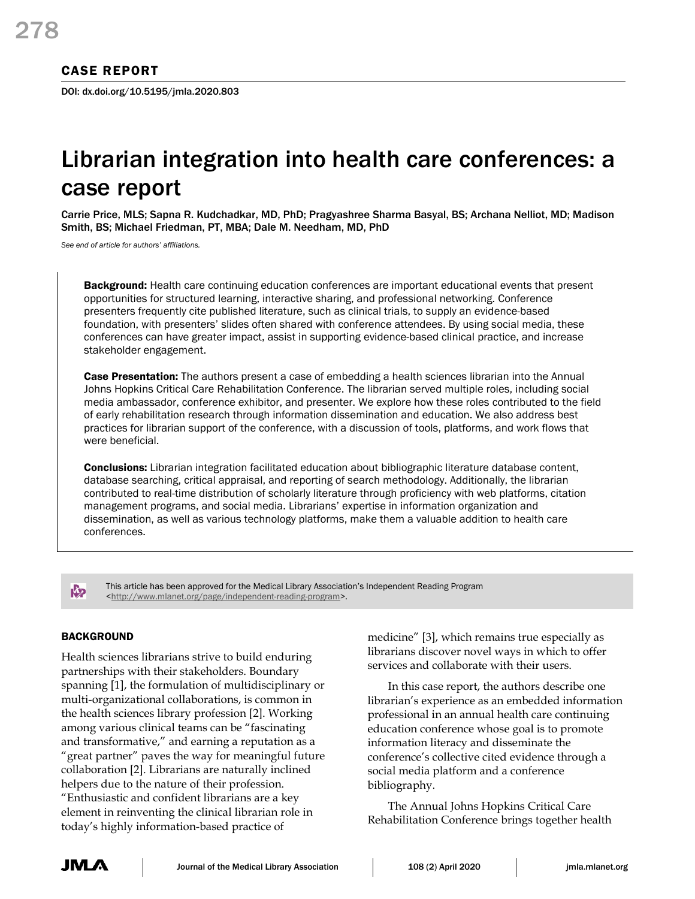# CASE REPORT

DOI: dx.doi.org/10.5195/jmla.2020.803

# Librarian integration into health care conferences: a case report

Carrie Price, MLS; Sapna R. Kudchadkar, MD, PhD; Pragyashree Sharma Basyal, BS; Archana Nelliot, MD; Madison Smith, BS; Michael Friedman, PT, MBA; Dale M. Needham, MD, PhD

*See end of article for authors' affiliations.*

Background: Health care continuing education conferences are important educational events that present opportunities for structured learning, interactive sharing, and professional networking. Conference presenters frequently cite published literature, such as clinical trials, to supply an evidence-based foundation, with presenters' slides often shared with conference attendees. By using social media, these conferences can have greater impact, assist in supporting evidence-based clinical practice, and increase stakeholder engagement.

**Case Presentation:** The authors present a case of embedding a health sciences librarian into the Annual Johns Hopkins Critical Care Rehabilitation Conference. The librarian served multiple roles, including social media ambassador, conference exhibitor, and presenter. We explore how these roles contributed to the field of early rehabilitation research through information dissemination and education. We also address best practices for librarian support of the conference, with a discussion of tools, platforms, and work flows that were beneficial.

**Conclusions:** Librarian integration facilitated education about bibliographic literature database content, database searching, critical appraisal, and reporting of search methodology. Additionally, the librarian contributed to real-time distribution of scholarly literature through proficiency with web platforms, citation management programs, and social media. Librarians' expertise in information organization and dissemination, as well as various technology platforms, make them a valuable addition to health care conferences.

This article has been approved for the Medical Library Association's Independent Reading Program [<http://www.mlanet.org/page/independent-reading-program>](http://www.mlanet.org/page/independent-reading-program).

## **BACKGROUND**

**K**<sub>2</sub>

Health sciences librarians strive to build enduring partnerships with their stakeholders. Boundary spanning [1], the formulation of multidisciplinary or multi-organizational collaborations, is common in the health sciences library profession [2]. Working among various clinical teams can be "fascinating and transformative," and earning a reputation as a "great partner" paves the way for meaningful future collaboration [2]. Librarians are naturally inclined helpers due to the nature of their profession. "Enthusiastic and confident librarians are a key element in reinventing the clinical librarian role in today's highly information-based practice of

medicine" [3], which remains true especially as librarians discover novel ways in which to offer services and collaborate with their users.

In this case report, the authors describe one librarian's experience as an embedded information professional in an annual health care continuing education conference whose goal is to promote information literacy and disseminate the conference's collective cited evidence through a social media platform and a conference bibliography.

The Annual Johns Hopkins Critical Care Rehabilitation Conference brings together health

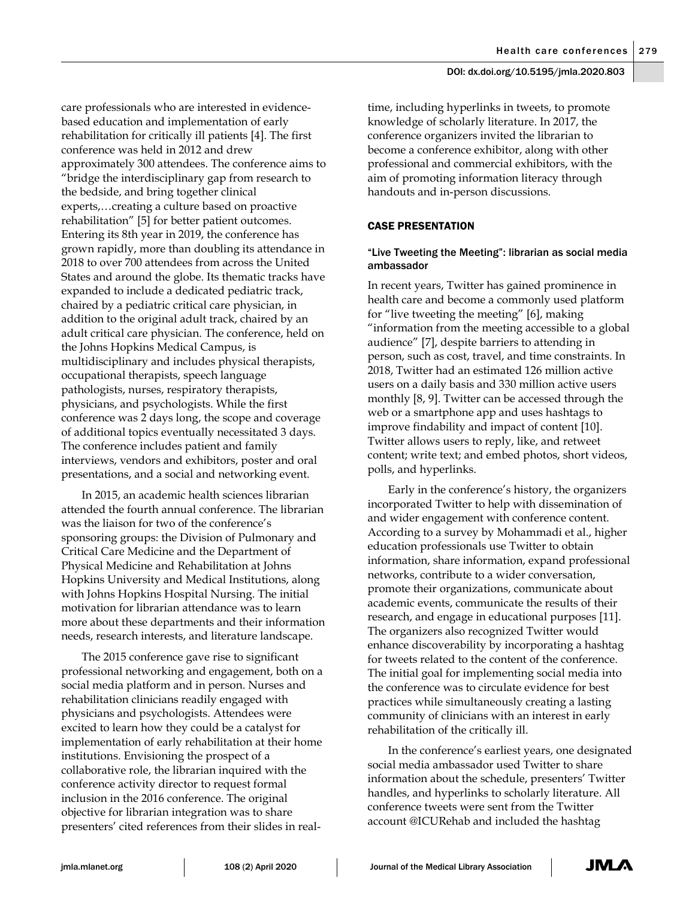care professionals who are interested in evidencebased education and implementation of early rehabilitation for critically ill patients [4]. The first conference was held in 2012 and drew approximately 300 attendees. The conference aims to "bridge the interdisciplinary gap from research to the bedside, and bring together clinical experts,…creating a culture based on proactive rehabilitation" [5] for better patient outcomes. Entering its 8th year in 2019, the conference has grown rapidly, more than doubling its attendance in 2018 to over 700 attendees from across the United States and around the globe. Its thematic tracks have expanded to include a dedicated pediatric track, chaired by a pediatric critical care physician, in addition to the original adult track, chaired by an adult critical care physician. The conference, held on the Johns Hopkins Medical Campus, is multidisciplinary and includes physical therapists, occupational therapists, speech language pathologists, nurses, respiratory therapists, physicians, and psychologists. While the first conference was 2 days long, the scope and coverage of additional topics eventually necessitated 3 days. The conference includes patient and family interviews, vendors and exhibitors, poster and oral presentations, and a social and networking event.

In 2015, an academic health sciences librarian attended the fourth annual conference. The librarian was the liaison for two of the conference's sponsoring groups: the Division of Pulmonary and Critical Care Medicine and the Department of Physical Medicine and Rehabilitation at Johns Hopkins University and Medical Institutions, along with Johns Hopkins Hospital Nursing. The initial motivation for librarian attendance was to learn more about these departments and their information needs, research interests, and literature landscape.

The 2015 conference gave rise to significant professional networking and engagement, both on a social media platform and in person. Nurses and rehabilitation clinicians readily engaged with physicians and psychologists. Attendees were excited to learn how they could be a catalyst for implementation of early rehabilitation at their home institutions. Envisioning the prospect of a collaborative role, the librarian inquired with the conference activity director to request formal inclusion in the 2016 conference. The original objective for librarian integration was to share presenters' cited references from their slides in realtime, including hyperlinks in tweets, to promote knowledge of scholarly literature. In 2017, the conference organizers invited the librarian to become a conference exhibitor, along with other professional and commercial exhibitors, with the aim of promoting information literacy through handouts and in-person discussions.

# CASE PRESENTATION

## "Live Tweeting the Meeting": librarian as social media ambassador

In recent years, Twitter has gained prominence in health care and become a commonly used platform for "live tweeting the meeting" [6], making "information from the meeting accessible to a global audience" [7], despite barriers to attending in person, such as cost, travel, and time constraints. In 2018, Twitter had an estimated 126 million active users on a daily basis and 330 million active users monthly [8, 9]. Twitter can be accessed through the web or a smartphone app and uses hashtags to improve findability and impact of content [10]. Twitter allows users to reply, like, and retweet content; write text; and embed photos, short videos, polls, and hyperlinks.

Early in the conference's history, the organizers incorporated Twitter to help with dissemination of and wider engagement with conference content. According to a survey by Mohammadi et al., higher education professionals use Twitter to obtain information, share information, expand professional networks, contribute to a wider conversation, promote their organizations, communicate about academic events, communicate the results of their research, and engage in educational purposes [11]. The organizers also recognized Twitter would enhance discoverability by incorporating a hashtag for tweets related to the content of the conference. The initial goal for implementing social media into the conference was to circulate evidence for best practices while simultaneously creating a lasting community of clinicians with an interest in early rehabilitation of the critically ill.

In the conference's earliest years, one designated social media ambassador used Twitter to share information about the schedule, presenters' Twitter handles, and hyperlinks to scholarly literature. All conference tweets were sent from the Twitter account @ICURehab and included the hashtag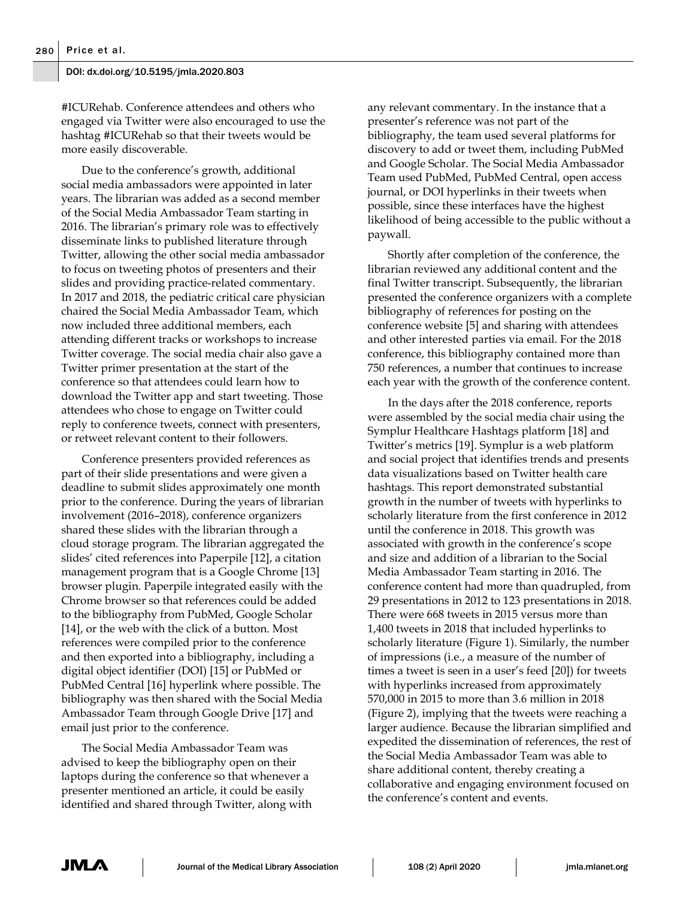#ICURehab. Conference attendees and others who engaged via Twitter were also encouraged to use the hashtag #ICURehab so that their tweets would be more easily discoverable.

Due to the conference's growth, additional social media ambassadors were appointed in later years. The librarian was added as a second member of the Social Media Ambassador Team starting in 2016. The librarian's primary role was to effectively disseminate links to published literature through Twitter, allowing the other social media ambassador to focus on tweeting photos of presenters and their slides and providing practice-related commentary. In 2017 and 2018, the pediatric critical care physician chaired the Social Media Ambassador Team, which now included three additional members, each attending different tracks or workshops to increase Twitter coverage. The social media chair also gave a Twitter primer presentation at the start of the conference so that attendees could learn how to download the Twitter app and start tweeting. Those attendees who chose to engage on Twitter could reply to conference tweets, connect with presenters, or retweet relevant content to their followers.

Conference presenters provided references as part of their slide presentations and were given a deadline to submit slides approximately one month prior to the conference. During the years of librarian involvement (2016–2018), conference organizers shared these slides with the librarian through a cloud storage program. The librarian aggregated the slides' cited references into Paperpile [12], a citation management program that is a Google Chrome [13] browser plugin. Paperpile integrated easily with the Chrome browser so that references could be added to the bibliography from PubMed, Google Scholar [14], or the web with the click of a button. Most references were compiled prior to the conference and then exported into a bibliography, including a digital object identifier (DOI) [15] or PubMed or PubMed Central [16] hyperlink where possible. The bibliography was then shared with the Social Media Ambassador Team through Google Drive [17] and email just prior to the conference.

The Social Media Ambassador Team was advised to keep the bibliography open on their laptops during the conference so that whenever a presenter mentioned an article, it could be easily identified and shared through Twitter, along with any relevant commentary. In the instance that a presenter's reference was not part of the bibliography, the team used several platforms for discovery to add or tweet them, including PubMed and Google Scholar. The Social Media Ambassador Team used PubMed, PubMed Central, open access journal, or DOI hyperlinks in their tweets when possible, since these interfaces have the highest likelihood of being accessible to the public without a paywall.

Shortly after completion of the conference, the librarian reviewed any additional content and the final Twitter transcript. Subsequently, the librarian presented the conference organizers with a complete bibliography of references for posting on the conference website [5] and sharing with attendees and other interested parties via email. For the 2018 conference, this bibliography contained more than 750 references, a number that continues to increase each year with the growth of the conference content.

In the days after the 2018 conference, reports were assembled by the social media chair using the Symplur Healthcare Hashtags platform [18] and Twitter's metrics [19]. Symplur is a web platform and social project that identifies trends and presents data visualizations based on Twitter health care hashtags. This report demonstrated substantial growth in the number of tweets with hyperlinks to scholarly literature from the first conference in 2012 until the conference in 2018. This growth was associated with growth in the conference's scope and size and addition of a librarian to the Social Media Ambassador Team starting in 2016. The conference content had more than quadrupled, from 29 presentations in 2012 to 123 presentations in 2018. There were 668 tweets in 2015 versus more than 1,400 tweets in 2018 that included hyperlinks to scholarly literature (Figure 1). Similarly, the number of impressions (i.e., a measure of the number of times a tweet is seen in a user's feed [20]) for tweets with hyperlinks increased from approximately 570,000 in 2015 to more than 3.6 million in 2018 (Figure 2), implying that the tweets were reaching a larger audience. Because the librarian simplified and expedited the dissemination of references, the rest of the Social Media Ambassador Team was able to share additional content, thereby creating a collaborative and engaging environment focused on the conference's content and events.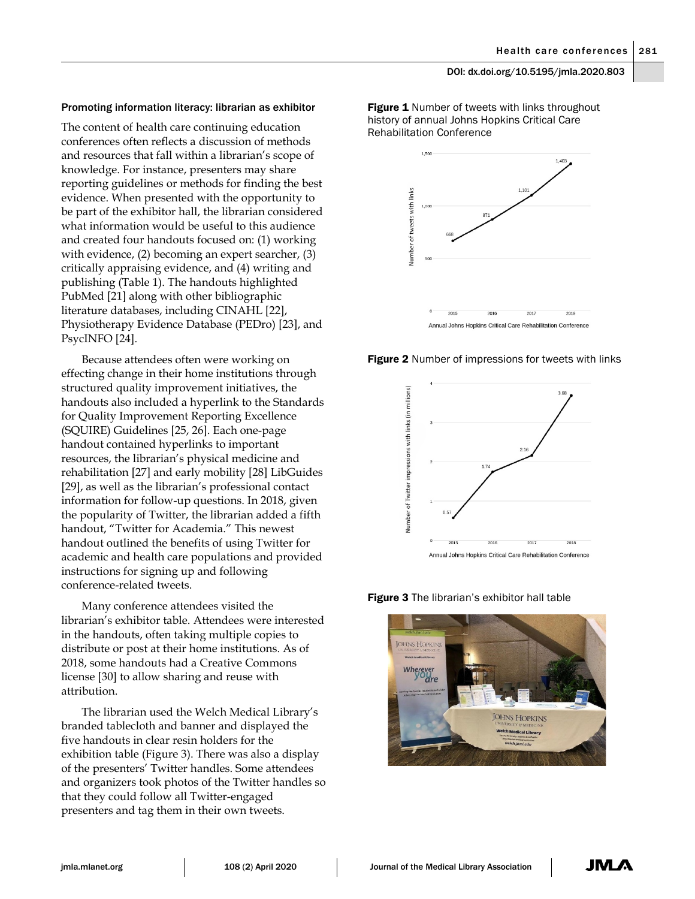#### Promoting information literacy: librarian as exhibitor

The content of health care continuing education conferences often reflects a discussion of methods and resources that fall within a librarian's scope of knowledge. For instance, presenters may share reporting guidelines or methods for finding the best evidence. When presented with the opportunity to be part of the exhibitor hall, the librarian considered what information would be useful to this audience and created four handouts focused on: (1) working with evidence, (2) becoming an expert searcher, (3) critically appraising evidence, and (4) writing and publishing (Table 1). The handouts highlighted PubMed [21] along with other bibliographic literature databases, including CINAHL [22], Physiotherapy Evidence Database (PEDro) [23], and PsycINFO [24].

Because attendees often were working on effecting change in their home institutions through structured quality improvement initiatives, the handouts also included a hyperlink to the Standards for Quality Improvement Reporting Excellence (SQUIRE) Guidelines [25, 26]. Each one-page handout contained hyperlinks to important resources, the librarian's physical medicine and rehabilitation [27] and early mobility [28] LibGuides [29], as well as the librarian's professional contact information for follow-up questions. In 2018, given the popularity of Twitter, the librarian added a fifth handout, "Twitter for Academia." This newest handout outlined the benefits of using Twitter for academic and health care populations and provided instructions for signing up and following conference-related tweets.

Many conference attendees visited the librarian's exhibitor table. Attendees were interested in the handouts, often taking multiple copies to distribute or post at their home institutions. As of 2018, some handouts had a Creative Commons license [30] to allow sharing and reuse with attribution.

The librarian used the Welch Medical Library's branded tablecloth and banner and displayed the five handouts in clear resin holders for the exhibition table (Figure 3). There was also a display of the presenters' Twitter handles. Some attendees and organizers took photos of the Twitter handles so that they could follow all Twitter-engaged presenters and tag them in their own tweets.

Figure 1 Number of tweets with links throughout history of annual Johns Hopkins Critical Care Rehabilitation Conference







Figure 3 The librarian's exhibitor hall table

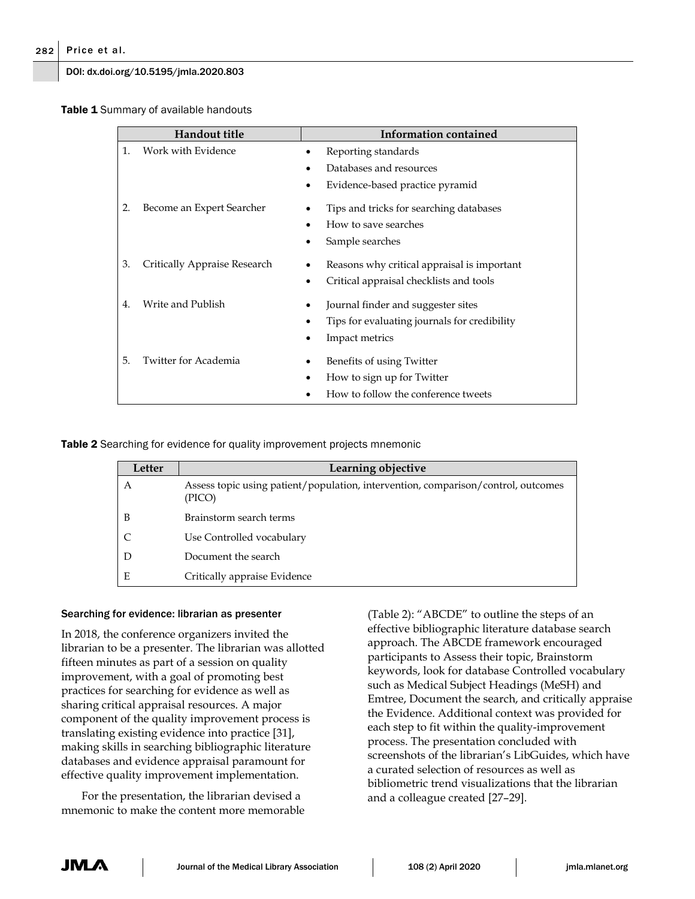Table 1 Summary of available handouts

| <b>Handout title</b> |                              | <b>Information contained</b>                                                                         |
|----------------------|------------------------------|------------------------------------------------------------------------------------------------------|
| 1.                   | Work with Evidence           | Reporting standards<br>Databases and resources<br>Evidence-based practice pyramid                    |
| 2.                   | Become an Expert Searcher    | Tips and tricks for searching databases<br>How to save searches<br>Sample searches                   |
| 3.                   | Critically Appraise Research | Reasons why critical appraisal is important<br>Critical appraisal checklists and tools               |
| 4.                   | Write and Publish            | Journal finder and suggester sites<br>Tips for evaluating journals for credibility<br>Impact metrics |
| 5.                   | Twitter for Academia         | Benefits of using Twitter<br>How to sign up for Twitter<br>How to follow the conference tweets       |

Table 2 Searching for evidence for quality improvement projects mnemonic

| Letter | Learning objective                                                                          |
|--------|---------------------------------------------------------------------------------------------|
| A      | Assess topic using patient/population, intervention, comparison/control, outcomes<br>(PICO) |
| B      | Brainstorm search terms                                                                     |
|        | Use Controlled vocabulary                                                                   |
|        | Document the search                                                                         |
| E      | Critically appraise Evidence                                                                |

## Searching for evidence: librarian as presenter

In 2018, the conference organizers invited the librarian to be a presenter. The librarian was allotted fifteen minutes as part of a session on quality improvement, with a goal of promoting best practices for searching for evidence as well as sharing critical appraisal resources. A major component of the quality improvement process is translating existing evidence into practice [31], making skills in searching bibliographic literature databases and evidence appraisal paramount for effective quality improvement implementation.

For the presentation, the librarian devised a mnemonic to make the content more memorable (Table 2): "ABCDE" to outline the steps of an effective bibliographic literature database search approach. The ABCDE framework encouraged participants to Assess their topic, Brainstorm keywords, look for database Controlled vocabulary such as Medical Subject Headings (MeSH) and Emtree, Document the search, and critically appraise the Evidence. Additional context was provided for each step to fit within the quality-improvement process. The presentation concluded with screenshots of the librarian's LibGuides, which have a curated selection of resources as well as bibliometric trend visualizations that the librarian and a colleague created [27–29].

JM.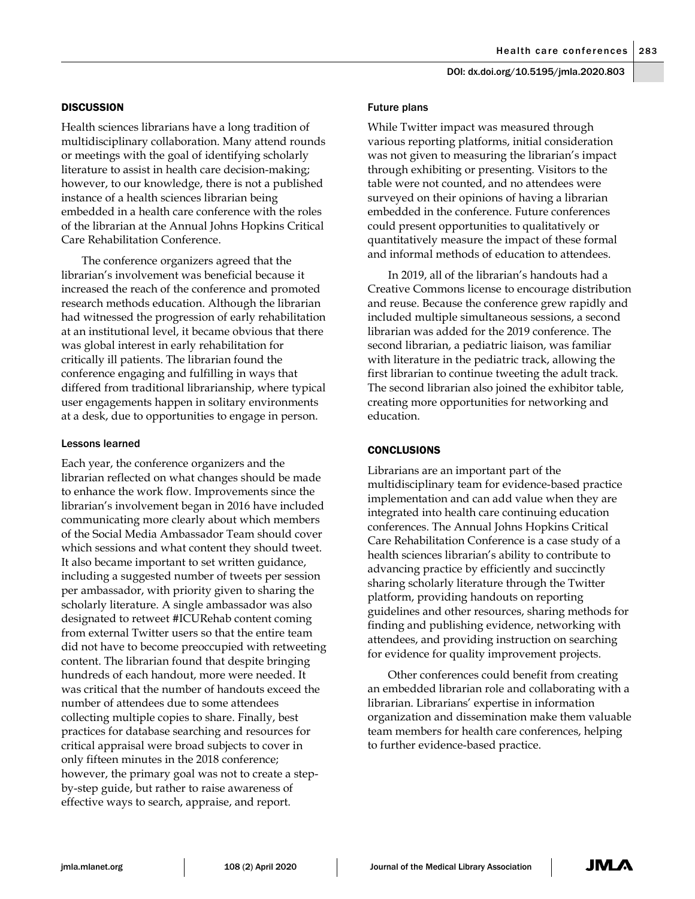#### **DISCUSSION**

Health sciences librarians have a long tradition of multidisciplinary collaboration. Many attend rounds or meetings with the goal of identifying scholarly literature to assist in health care decision-making; however, to our knowledge, there is not a published instance of a health sciences librarian being embedded in a health care conference with the roles of the librarian at the Annual Johns Hopkins Critical Care Rehabilitation Conference.

The conference organizers agreed that the librarian's involvement was beneficial because it increased the reach of the conference and promoted research methods education. Although the librarian had witnessed the progression of early rehabilitation at an institutional level, it became obvious that there was global interest in early rehabilitation for critically ill patients. The librarian found the conference engaging and fulfilling in ways that differed from traditional librarianship, where typical user engagements happen in solitary environments at a desk, due to opportunities to engage in person.

#### Lessons learned

Each year, the conference organizers and the librarian reflected on what changes should be made to enhance the work flow. Improvements since the librarian's involvement began in 2016 have included communicating more clearly about which members of the Social Media Ambassador Team should cover which sessions and what content they should tweet. It also became important to set written guidance, including a suggested number of tweets per session per ambassador, with priority given to sharing the scholarly literature. A single ambassador was also designated to retweet #ICURehab content coming from external Twitter users so that the entire team did not have to become preoccupied with retweeting content. The librarian found that despite bringing hundreds of each handout, more were needed. It was critical that the number of handouts exceed the number of attendees due to some attendees collecting multiple copies to share. Finally, best practices for database searching and resources for critical appraisal were broad subjects to cover in only fifteen minutes in the 2018 conference; however, the primary goal was not to create a stepby-step guide, but rather to raise awareness of effective ways to search, appraise, and report.

#### Future plans

While Twitter impact was measured through various reporting platforms, initial consideration was not given to measuring the librarian's impact through exhibiting or presenting. Visitors to the table were not counted, and no attendees were surveyed on their opinions of having a librarian embedded in the conference. Future conferences could present opportunities to qualitatively or quantitatively measure the impact of these formal and informal methods of education to attendees.

In 2019, all of the librarian's handouts had a Creative Commons license to encourage distribution and reuse. Because the conference grew rapidly and included multiple simultaneous sessions, a second librarian was added for the 2019 conference. The second librarian, a pediatric liaison, was familiar with literature in the pediatric track, allowing the first librarian to continue tweeting the adult track. The second librarian also joined the exhibitor table, creating more opportunities for networking and education.

## **CONCLUSIONS**

Librarians are an important part of the multidisciplinary team for evidence-based practice implementation and can add value when they are integrated into health care continuing education conferences. The Annual Johns Hopkins Critical Care Rehabilitation Conference is a case study of a health sciences librarian's ability to contribute to advancing practice by efficiently and succinctly sharing scholarly literature through the Twitter platform, providing handouts on reporting guidelines and other resources, sharing methods for finding and publishing evidence, networking with attendees, and providing instruction on searching for evidence for quality improvement projects.

Other conferences could benefit from creating an embedded librarian role and collaborating with a librarian. Librarians' expertise in information organization and dissemination make them valuable team members for health care conferences, helping to further evidence-based practice.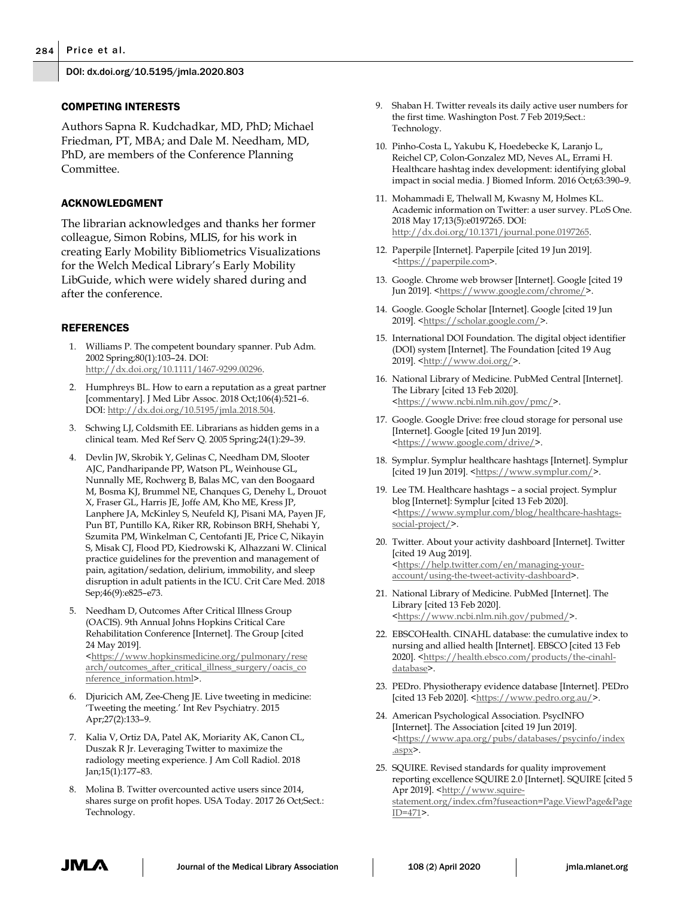## COMPETING INTERESTS

Authors Sapna R. Kudchadkar, MD, PhD; Michael Friedman, PT, MBA; and Dale M. Needham, MD, PhD, are members of the Conference Planning Committee.

# ACKNOWLEDGMENT

The librarian acknowledges and thanks her former colleague, Simon Robins, MLIS, for his work in creating Early Mobility Bibliometrics Visualizations for the Welch Medical Library's Early Mobility LibGuide, which were widely shared during and after the conference.

# REFERENCES

- 1. Williams P. The competent boundary spanner. Pub Adm. 2002 Spring;80(1):103–24. DOI: [http://dx.doi.org/10.1111/1467-9299.00296.](http://dx.doi.org/10.1111/1467-9299.00296)
- 2. Humphreys BL. How to earn a reputation as a great partner [commentary]. J Med Libr Assoc. 2018 Oct;106(4):521–6. DOI: [http://dx.doi.org/10.5195/jmla.2018.504.](http://dx.doi.org/10.5195/jmla.2018.504)
- 3. Schwing LJ, Coldsmith EE. Librarians as hidden gems in a clinical team. Med Ref Serv Q. 2005 Spring;24(1):29–39.
- 4. Devlin JW, Skrobik Y, Gelinas C, Needham DM, Slooter AJC, Pandharipande PP, Watson PL, Weinhouse GL, Nunnally ME, Rochwerg B, Balas MC, van den Boogaard M, Bosma KJ, Brummel NE, Chanques G, Denehy L, Drouot X, Fraser GL, Harris JE, Joffe AM, Kho ME, Kress JP, Lanphere JA, McKinley S, Neufeld KJ, Pisani MA, Payen JF, Pun BT, Puntillo KA, Riker RR, Robinson BRH, Shehabi Y, Szumita PM, Winkelman C, Centofanti JE, Price C, Nikayin S, Misak CJ, Flood PD, Kiedrowski K, Alhazzani W. Clinical practice guidelines for the prevention and management of pain, agitation/sedation, delirium, immobility, and sleep disruption in adult patients in the ICU. Crit Care Med. 2018 Sep;46(9):e825–e73.
- 5. Needham D, Outcomes After Critical Illness Group (OACIS). 9th Annual Johns Hopkins Critical Care Rehabilitation Conference [Internet]. The Group [cited 24 May 2019]. [<https://www.hopkinsmedicine.org/pulmonary/rese](https://www.hopkinsmedicine.org/pulmonary/research/outcomes_after_critical_illness_surgery/oacis_conference_information.html) [arch/outcomes\\_after\\_critical\\_illness\\_surgery/oacis\\_co](https://www.hopkinsmedicine.org/pulmonary/research/outcomes_after_critical_illness_surgery/oacis_conference_information.html) [nference\\_information.html>](https://www.hopkinsmedicine.org/pulmonary/research/outcomes_after_critical_illness_surgery/oacis_conference_information.html).
- 6. Djuricich AM, Zee-Cheng JE. Live tweeting in medicine: 'Tweeting the meeting.' Int Rev Psychiatry. 2015 Apr;27(2):133–9.
- 7. Kalia V, Ortiz DA, Patel AK, Moriarity AK, Canon CL, Duszak R Jr. Leveraging Twitter to maximize the radiology meeting experience. J Am Coll Radiol. 2018 Jan;15(1):177–83.
- 8. Molina B. Twitter overcounted active users since 2014, shares surge on profit hopes. USA Today. 2017 26 Oct;Sect.: Technology.
- 9. Shaban H. Twitter reveals its daily active user numbers for the first time. Washington Post. 7 Feb 2019;Sect.: Technology.
- 10. Pinho-Costa L, Yakubu K, Hoedebecke K, Laranjo L, Reichel CP, Colon-Gonzalez MD, Neves AL, Errami H. Healthcare hashtag index development: identifying global impact in social media. J Biomed Inform. 2016 Oct;63:390–9.
- 11. Mohammadi E, Thelwall M, Kwasny M, Holmes KL. Academic information on Twitter: a user survey. PLoS One. 2018 May 17;13(5):e0197265. DOI: [http://dx.doi.org/10.1371/journal.pone.0197265.](http://dx.doi.org/10.1371/journal.pone.0197265)
- 12. Paperpile [Internet]. Paperpile [cited 19 Jun 2019]. [<https://paperpile.com>](https://paperpile.com/).
- 13. Google. Chrome web browser [Internet]. Google [cited 19 Jun 2019]. [<https://www.google.com/chrome/>](https://www.google.com/chrome/).
- 14. Google. Google Scholar [Internet]. Google [cited 19 Jun 2019]. [<https://scholar.google.com/>](https://scholar.google.com/).
- 15. International DOI Foundation. The digital object identifier (DOI) system [Internet]. The Foundation [cited 19 Aug 2019]. [<http://www.doi.org/>](http://www.doi.org/).
- 16. National Library of Medicine. PubMed Central [Internet]. The Library [cited 13 Feb 2020]. [<https://www.ncbi.nlm.nih.gov/pmc/>](https://www.ncbi.nlm.nih.gov/pmc/).
- 17. Google. Google Drive: free cloud storage for personal use [Internet]. Google [cited 19 Jun 2019]. [<https://www.google.com/drive/>](https://www.google.com/drive/).
- 18. Symplur. Symplur healthcare hashtags [Internet]. Symplur [cited 19 Jun 2019].  $$\frac{\hbox{https://www.symplur.com/}}{\hbox{www.symplur.com/}}$ .
- 19. Lee TM. Healthcare hashtags a social project. Symplur blog [Internet]: Symplur [cited 13 Feb 2020]. [<https://www.symplur.com/blog/healthcare-hashtags](https://www.symplur.com/blog/healthcare-hashtags-social-project/)[social-project/>](https://www.symplur.com/blog/healthcare-hashtags-social-project/).
- 20. Twitter. About your activity dashboard [Internet]. Twitter [cited 19 Aug 2019]. [<https://help.twitter.com/en/managing-your](https://help.twitter.com/en/managing-your-account/using-the-tweet-activity-dashboard)[account/using-the-tweet-activity-dashboard>](https://help.twitter.com/en/managing-your-account/using-the-tweet-activity-dashboard).
- 21. National Library of Medicine. PubMed [Internet]. The Library [cited 13 Feb 2020]. [<https://www.ncbi.nlm.nih.gov/pubmed/>](https://www.ncbi.nlm.nih.gov/pubmed/).
- 22. EBSCOHealth. CINAHL database: the cumulative index to nursing and allied health [Internet]. EBSCO [cited 13 Feb 2020]. [<https://health.ebsco.com/products/the-cinahl](https://health.ebsco.com/products/the-cinahl-database)[database>](https://health.ebsco.com/products/the-cinahl-database).
- 23. PEDro. Physiotherapy evidence database [Internet]. PEDro [cited 13 Feb 2020]. [<https://www.pedro.org.au/>](https://www.pedro.org.au/).
- 24. American Psychological Association. PsycINFO [Internet]. The Association [cited 19 Jun 2019]. [<https://www.apa.org/pubs/databases/psycinfo/index](https://www.apa.org/pubs/databases/psycinfo/index.aspx) [.aspx>](https://www.apa.org/pubs/databases/psycinfo/index.aspx).
- 25. SQUIRE. Revised standards for quality improvement reporting excellence SQUIRE 2.0 [Internet]. SQUIRE [cited 5 Apr 2019]. [<http://www.squire](http://www.squire-statement.org/index.cfm?fuseaction=Page.ViewPage&PageID=471)[statement.org/index.cfm?fuseaction=Page.ViewPage&Page](http://www.squire-statement.org/index.cfm?fuseaction=Page.ViewPage&PageID=471) [ID=471>](http://www.squire-statement.org/index.cfm?fuseaction=Page.ViewPage&PageID=471).